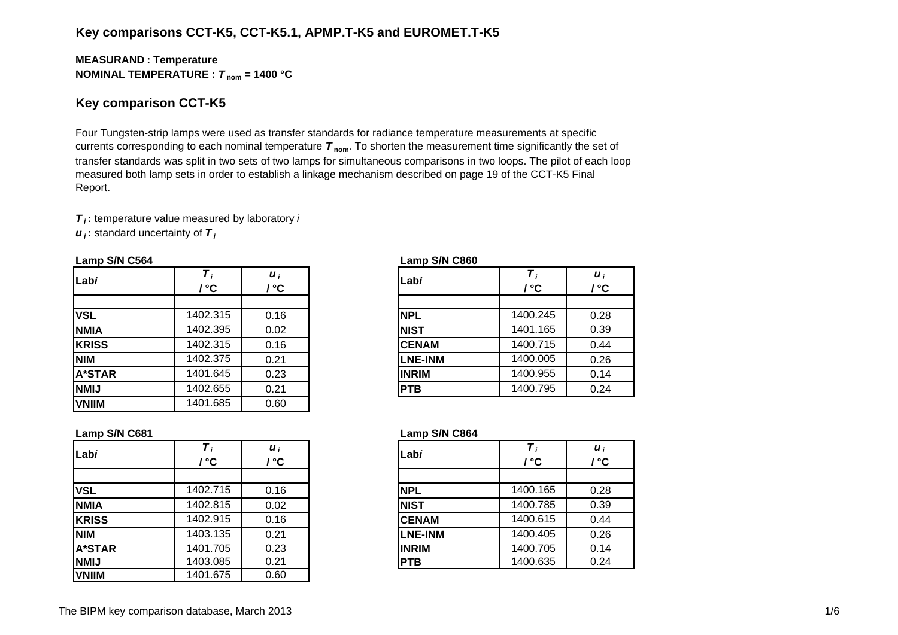## **Key comparisons CCT-K5, CCT-K5.1, APMP.T-K5 and EUROMET.T-K5**

#### **MEASURAN D : Temperature NOMINAL TEMPERATURE :**  *T* **nom = 1400 °C**

### **Key comparison CCT-K5**

Four Tungsten-strip lamps were used as transfer standards for radiance temperature measurements at specific currents corresponding to each nominal temperature *T* **nom**. To shorten the measurement time significantly the set of transfer standards was split in two sets of two lamps for simultaneous comparisons in two loops. The pilot of each loop measured both lamp sets in order to establish a linkage mechanism described on page 19 of the CCT-K5 Final Report.

*T i* **:** temperature value measured by laboratory *i*

*u i* **:** standard uncertainty of *T i*

#### **Lamp S/N C564 Lamp S/N C860**

| Labi          | °C       | $\boldsymbol{u}_i$<br>' ℃ | Labi           | / °C     | $\boldsymbol{u}_i$<br>/ °C |
|---------------|----------|---------------------------|----------------|----------|----------------------------|
|               |          |                           |                |          |                            |
| <b>VSL</b>    | 1402.315 | 0.16                      | <b>NPL</b>     | 1400.245 | 0.28                       |
| <b>NMIA</b>   | 1402.395 | 0.02                      | <b>NIST</b>    | 1401.165 | 0.39                       |
| <b>KRISS</b>  | 1402.315 | 0.16                      | <b>CENAM</b>   | 1400.715 | 0.44                       |
| <b>NIM</b>    | 1402.375 | 0.21                      | <b>LNE-INM</b> | 1400.005 | 0.26                       |
| <b>A*STAR</b> | 1401.645 | 0.23                      | <b>INRIM</b>   | 1400.955 | 0.14                       |
| <b>NMIJ</b>   | 1402.655 | 0.21                      | <b>PTB</b>     | 1400.795 | 0.24                       |
| <b>VNIIM</b>  | 1401.685 | 0.60                      |                |          |                            |

| i<br>C          | Labi         |                | Т<br>/°C | $\boldsymbol{u}_i$<br>$\prime$ °C |
|-----------------|--------------|----------------|----------|-----------------------------------|
|                 |              |                |          |                                   |
| 16              | <b>NPL</b>   |                | 1400.245 | 0.28                              |
| $\overline{2}$  | <b>NIST</b>  |                | 1401.165 | 0.39                              |
| $\overline{16}$ |              | <b>CENAM</b>   | 1400.715 | 0.44                              |
| $\overline{21}$ |              | <b>LNE-INM</b> | 1400.005 | 0.26                              |
| $\overline{23}$ | <b>INRIM</b> |                | 1400.955 | 0.14                              |
| $\overline{21}$ | <b>PTB</b>   |                | 1400.795 | 0.24                              |
|                 |              |                |          |                                   |

#### **Lamp S/N C681 Lamp S/N C864**

| Labi          | / °C     | $\boldsymbol{u}_i$<br>' °C | Labi           | / °C     | $\boldsymbol{u}_i$<br>/ °C |
|---------------|----------|----------------------------|----------------|----------|----------------------------|
|               |          |                            |                |          |                            |
| <b>VSL</b>    | 1402.715 | 0.16                       | <b>NPL</b>     | 1400.165 | 0.28                       |
| <b>NMIA</b>   | 1402.815 | 0.02                       | <b>NIST</b>    | 1400.785 | 0.39                       |
| <b>KRISS</b>  | 1402.915 | 0.16                       | <b>CENAM</b>   | 1400.615 | 0.44                       |
| <b>NIM</b>    | 1403.135 | 0.21                       | <b>LNE-INM</b> | 1400.405 | 0.26                       |
| <b>A*STAR</b> | 1401.705 | 0.23                       | <b>INRIM</b>   | 1400.705 | 0.14                       |
| <b>NMIJ</b>   | 1403.085 | 0.21                       | <b>PTB</b>     | 1400.635 | 0.24                       |
| <b>VNIIM</b>  | 1401.675 | 0.60                       |                |          |                            |

|            | / °C     | $\boldsymbol{u}_i$<br>°° | Labi         | Т,<br>/ °C | $\boldsymbol{u}_i$<br>/ °C |
|------------|----------|--------------------------|--------------|------------|----------------------------|
|            |          |                          |              |            |                            |
|            | 1402.715 | 0.16                     | <b>NPL</b>   | 1400.165   | 0.28                       |
| A          | 1402.815 | 0.02                     | <b>NIST</b>  | 1400.785   | 0.39                       |
| SS         | 1402.915 | 0.16                     | <b>CENAM</b> | 1400.615   | 0.44                       |
|            | 1403.135 | 0.21                     | LNE-INM      | 1400.405   | 0.26                       |
| <b>TAR</b> | 1401.705 | 0.23                     | <b>INRIM</b> | 1400.705   | 0.14                       |
|            | 1403.085 | 0.21                     | <b>PTB</b>   | 1400.635   | 0.24                       |
|            |          |                          |              |            |                            |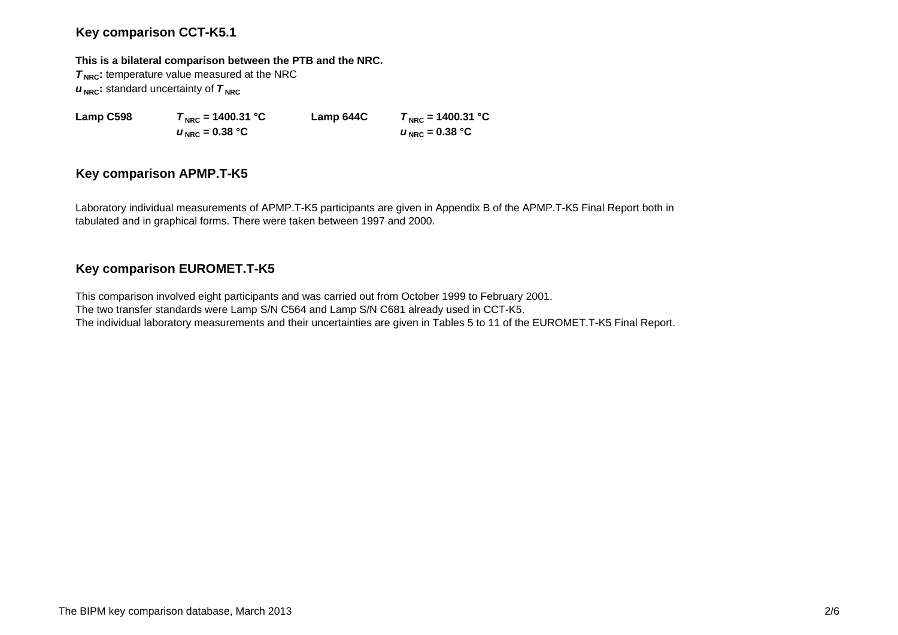## **Key comparison CCT-K5.1**

#### **This is a bilateral comparison between the PTB and the NRC.**

**T<sub>NRC</sub>**: temperature value measured at the NRC  $u_{\text{NRC}}$ : standard uncertainty of  $\tau_{\text{NRC}}$ 

 $u_{\text{NRC}} = 0.38 \text{ °C}$ 

**Lamp C598 T**<sub>NRC</sub> = 1400.31 °C **Lamp 644C T**<sub>NRC</sub> = 1400.31 °C  $U_{NRC} = 0.38 °C$ 

## **Key comparison APMP.T-K5**

Laboratory individual measurements of APMP.T-K5 participants are given in Appendix B of the APMP.T-K5 Final Report both in tabulated and in graphical forms. There were taken between 1997 and 2000.

# **Key comparison EUROMET.T-K5**

This comparison involved eight participants and was carried out from October 1999 to February 2001. The two transfer standards were Lamp S/N C564 and Lamp S/N C681 already used in CCT-K5. The individual laboratory measurements and their uncertainties are given in Tables 5 to 11 of the EUROMET.T-K5 Final Report.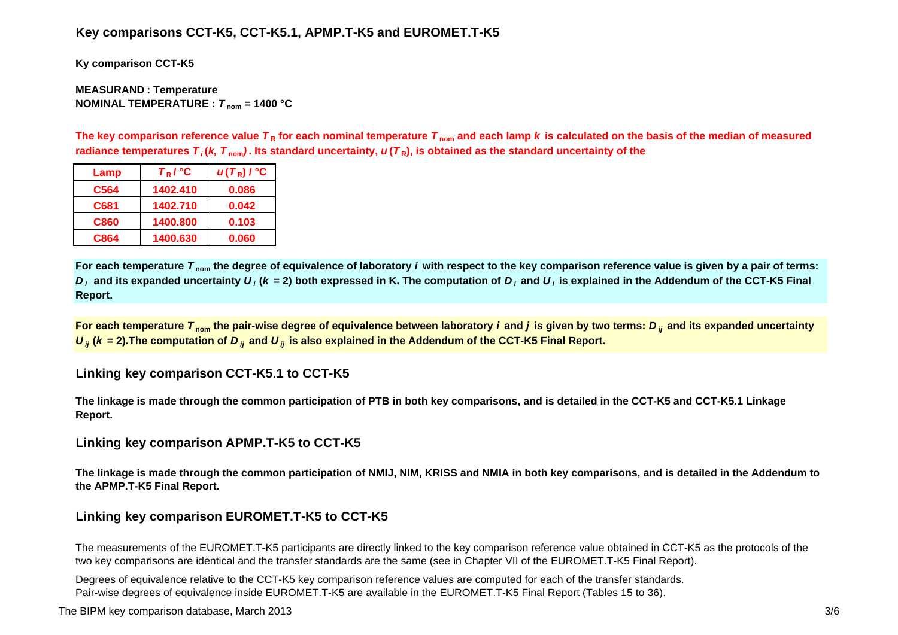## **Key comparisons CCT-K5, CCT-K5.1, APMP.T-K5 and EUROMET.T-K5**

**Ky comparison CCT-K5**

#### **MEASURAN D : Temperature NOMINAL TEMPERATURE :**  *T* **nom = 1400 °C**

The key comparison reference value  $\bm{\tau}_{\mathsf{R}}$  for each nominal temperature  $\bm{\tau}_{\mathsf{nom}}$  and each lamp  $\bm{k}$  is calculated on the basis of the median of measured radiance temperatures  $\bm{\tau}_i$ (*k, T*  $_{\rm nom}$ ). Its standard uncertainty,  $\bm{u}(\bm{\tau}_\text{R})$ , is obtained as the standard uncertainty of the

| Lamp             | $T_R$ / $^{\circ}$ C | $u(T_R)$ / $^{\circ}$ C |
|------------------|----------------------|-------------------------|
| C <sub>564</sub> | 1402.410             | 0.086                   |
| C681             | 1402.710             | 0.042                   |
| C860             | 1400.800             | 0.103                   |
| C864             | 1400.630             | 0.060                   |

**For each temperature**  *T* **nom the degree of equivalence of laboratory** *i* **with respect to the key comparison reference value is given by a pair of terms:**   $D_i$  and its expanded uncertainty  $U_i$  (k = 2) both expressed in K. The computation of  $D_i$  and  $U_i$  is explained in the Addendum of the CCT-K5 Final **Report.**

**For each temperature**  *T* **nom the pair-wise degree of equivalence between laboratory** *i* **and** *j* **is given by two terms:***<sup>D</sup> ij* **and its expanded uncertainty**   $U_{ij}$  ( $k$  = 2).The computation of  $D_{ij}$  and  $U_{ij}$  is also explained in the Addendum of the CCT-K5 Final Report.

## **Linking key comparison CCT-K5.1 to CCT-K5**

**The linkage is made through the common participation of PTB in both key comparisons, and is detailed in the CCT-K5 and CCT-K5.1 Linkage Report.**

## **Linking key comparison APMP.T-K5 to CCT-K5**

**The linkage is made through the common participation of NMIJ, NIM, KRISS and NMIA in both key comparisons, and is detailed in the Addendum to the APMP.T-K5 Final Report.**

## **Linking key comparison EUROMET.T-K5 to CCT-K5**

The measurements of the EUROMET.T-K5 participants are directly linked to the key comparison reference value obtained in CCT-K5 as the protocols of the two key comparisons are identical and the transfer standards are the same (see in Chapter VII of the EUROMET.T-K5 Final Report).

Degrees of equivalence relative to the CCT-K5 key comparison reference values are computed for each of the transfer standards. Pair-wise degrees of equivalence inside EUROMET.T-K5 are available in the EUROMET.T-K5 Final Report (Tables 15 to 36).

The BIPM key comparison database, March 2013 3/6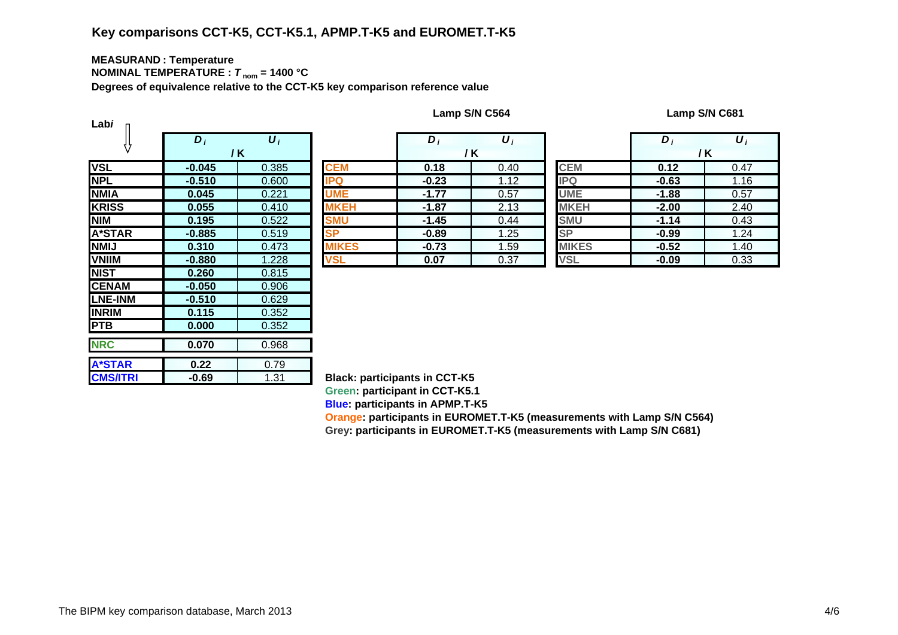# **Key comparisons CCT-K5, CCT-K5.1, APMP.T-K5 and EUROMET.T-K5**

#### **MEASURAN D : Temperature NOMINAL TEMPERATURE :**  *T* **nom = 1400 °C**

**Degrees of equivalence relative to the CCT-K5 key comparison reference value**

| Labi            |                  |                       |               |
|-----------------|------------------|-----------------------|---------------|
|                 | $\overline{D_i}$ | $\overline{\bm{U}}_i$ |               |
|                 |                  | / K                   |               |
| <b>VSL</b>      | $-0.045$         | 0.385                 | <b>CEM</b>    |
| <b>NPL</b>      | $-0.510$         | 0.600                 | <b>IPQ</b>    |
| <b>NMIA</b>     | 0.045            | 0.221                 | UME           |
| <b>KRISS</b>    | 0.055            | 0.410                 | <b>MKEH</b>   |
| <b>NIM</b>      | 0.195            | 0.522                 | <b>SMU</b>    |
| A*STAR          | $-0.885$         | 0.519                 | <b>SP</b>     |
| <b>NMIJ</b>     | 0.310            | 0.473                 | <b>MIKES</b>  |
| <b>VNIIM</b>    | $-0.880$         | 1.228                 | <b>VSL</b>    |
| <b>NIST</b>     | 0.260            | 0.815                 |               |
| <b>CENAM</b>    | $-0.050$         | 0.906                 |               |
| <b>LNE-INM</b>  | $-0.510$         | 0.629                 |               |
| <b>INRIM</b>    | 0.115            | 0.352                 |               |
| <b>PTB</b>      | 0.000            | 0.352                 |               |
| <b>NRC</b>      | 0.070            | 0.968                 |               |
|                 |                  |                       |               |
| <b>A*STAR</b>   | 0.22             | 0.79                  |               |
| <b>CMS/ITRI</b> | $-0.69$          | 1.31                  | <b>Black:</b> |

| Lamp S/N C564 |
|---------------|
|---------------|

**Lamp S/N C564 Lamp S/N C681**

|                               | $D_i$     | $\boldsymbol{U}_i$   |              | D       | $\boldsymbol{U}$ |              | D       | $\boldsymbol{U}_i$ |
|-------------------------------|-----------|----------------------|--------------|---------|------------------|--------------|---------|--------------------|
|                               |           | / K                  |              |         | / K              |              | /K      |                    |
|                               | $-0.045$  | 0.385                | <b>CEM</b>   | 0.18    | 0.40             | <b>CEM</b>   | 0.12    | 0.47               |
|                               | $-0.510$  | 0.600                | <b>IPQ</b>   | $-0.23$ | 1.12             | <b>IPQ</b>   | $-0.63$ | 1.16               |
| А                             | 0.045     | 0.221                | <b>UME</b>   | $-1.77$ | 0.57             | <b>UME</b>   | $-1.88$ | 0.57               |
| $\overline{\text{s}}\text{s}$ | 0.055     | 0.410                | <b>MKEH</b>  | $-1.87$ | 2.13             | <b>MKEH</b>  | $-2.00$ | 2.40               |
|                               | 0.195     | 0.522                | <b>SMU</b>   | $-1.45$ | 0.44             | <b>SMU</b>   | $-1.14$ | 0.43               |
| TAR                           | $-0.885$  | 0.519                | <b>SP</b>    | $-0.89$ | 1.25             | <b>SP</b>    | $-0.99$ | 1.24               |
|                               | 0.310     | 0.473                | <b>MIKES</b> | $-0.73$ | 1.59             | <b>MIKES</b> | $-0.52$ | 1.40               |
| M                             | $-0.880$  | 1.228                | <b>VSL</b>   | 0.07    | 0.37             | <b>VSL</b>   | $-0.09$ | 0.33               |
|                               | $- - - -$ | $\sim$ $\sim$ $\sim$ |              |         |                  |              |         |                    |

|            | $D_i$   | $\boldsymbol{U}_i$ |              | D       | $\boldsymbol{\mathsf{U}}_i$ |
|------------|---------|--------------------|--------------|---------|-----------------------------|
|            |         | / K                |              |         | /K                          |
|            | 0.18    | 0.40               | <b>CEM</b>   | 0.12    | 0.47                        |
|            | $-0.23$ | 1.12               | IPQ          | $-0.63$ | 1.16                        |
|            | $-1.77$ | 0.57               | <b>UME</b>   | $-1.88$ | 0.57                        |
| Н          | $-1.87$ | 2.13               | <b>MKEH</b>  | $-2.00$ | 2.40                        |
|            | $-1.45$ | 0.44               | <b>SMU</b>   | $-1.14$ | 0.43                        |
|            | $-0.89$ | 1.25               | <b>SP</b>    | $-0.99$ | 1.24                        |
| <u>:</u> S | $-0.73$ | 1.59               | <b>MIKES</b> | $-0.52$ | 1.40                        |
|            | 0.07    | 0.37               | <b>VSL</b>   | $-0.09$ | 0.33                        |

**Black: participants in CCT-K5 Green: participant in CCT-K5.1 Blue: participants in APMP.T-K5**

**Oran g e: participants in EUROMET.T-K5 (measurements with Lamp S/N C564) Gre y: participants in EUROMET.T-K5 (measurements with Lamp S/N C681)**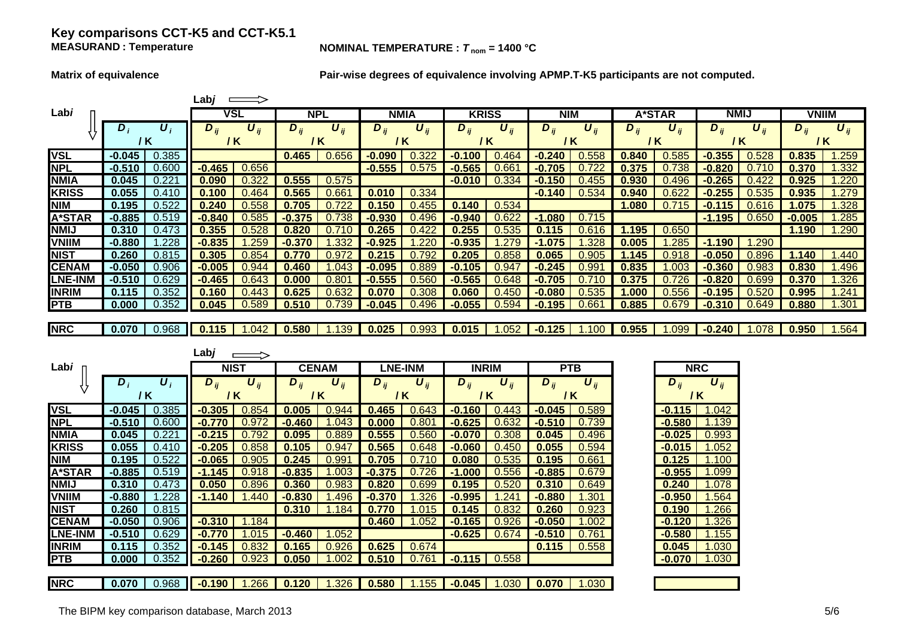#### **Key comparisons CCT-K5 and CCT-K5.1 MEASURAND**

**NOMINAL TEMPERATURE :**  $T_{\text{nom}} = 1400 \text{ °C}$ 

**Matrix of equivalence Pair-wise degrees of equivalence involving APMP.T-K5 participants are not computed.**

|                            |                                  | Labj $\implies$                                                   |                                            |                                 |                                        |                                            |                                   |                                 |                                 |
|----------------------------|----------------------------------|-------------------------------------------------------------------|--------------------------------------------|---------------------------------|----------------------------------------|--------------------------------------------|-----------------------------------|---------------------------------|---------------------------------|
| Labi                       |                                  | <b>VSL</b>                                                        | <b>NPL</b>                                 | <b>NMIA</b>                     | <b>KRISS</b>                           | <b>NIM</b>                                 | A*STAR                            | <b>NMIJ</b>                     | <b>VNIIM</b>                    |
|                            | $D_i$<br>$\boldsymbol{U}_i$      | $D_{ij}$<br>$\boldsymbol{U}_{ij}$                                 | $\overline{D}_{ij}$<br>$\overline{U_{ij}}$ | $D_{ij}$<br>$\overline{U_{ij}}$ | $\overline{U_{ij}}$<br>$D_{ii}$        | $\overline{D}_{ij}$<br>$\overline{U_{ij}}$ | $D_{ii}$<br>$\boldsymbol{U}_{ii}$ | $D_{ii}$<br>$\overline{U_{ij}}$ | $\overline{U_{ij}}$<br>$D_{ij}$ |
|                            | $/$ K                            | / K                                                               | $/$ K                                      | $/$ K                           | $/$ K                                  | $/$ K                                      | $/$ K                             | /K                              | / K                             |
| <b>VSL</b>                 | $-0.045$<br>0.385                |                                                                   | 0.465<br>0.656                             | 0.322<br>$-0.090$               | $-0.100$<br>0.464                      | $-0.240$<br>0.558                          | 0.840<br>0.585                    | $-0.355$<br>0.528               | 0.835<br>1.259                  |
| <b>NPL</b>                 | $-0.510$<br>0.600                | 0.656<br>$-0.465$                                                 |                                            | $-0.555$<br>0.575               | $-0.565$<br>0.661                      | 0.722<br>$-0.705$                          | 0.375<br>0.738                    | 0.710<br>$-0.820$               | 0.370<br>1.332                  |
| <b>NMIA</b>                | 0.045<br>0.221                   | 0.090<br>0.322                                                    | 0.555<br>0.575                             |                                 | $-0.010$<br>0.334                      | $-0.150$<br>0.455                          | 0.930<br>0.496                    | $-0.265$<br>0.422               | 0.925<br>1.220                  |
| <b>KRISS</b>               | 0.055<br>0.410                   | 0.100<br>0.464                                                    | 0.565<br>0.661                             | 0.010<br>0.334                  |                                        | $-0.140$<br>0.534                          | 0.940<br>0.622                    | $-0.255$<br>0.535               | 0.935<br>1.279                  |
| <b>NIM</b>                 | 0.195<br>0.522                   | 0.240<br>0.558                                                    | 0.705<br>0.722                             | 0.150<br>0.455                  | 0.140<br>0.534                         |                                            | 1.080<br>0.715                    | $-0.115$<br>0.616               | 1.075<br>1.328                  |
| <b>A*STAR</b>              | $-0.885$<br>0.519                | $-0.840$<br>0.585                                                 | $-0.375$<br>0.738                          | $-0.930$<br>0.496               | $-0.940$<br>0.622                      | $-1.080$<br>0.715                          |                                   | $-1.195$<br>0.650               | $-0.005$<br>1.285               |
| <b>NMIJ</b>                | 0.310<br>0.473                   | 0.355<br>0.528                                                    | 0.820<br>0.710                             | 0.265<br>0.422                  | 0.255<br>0.535                         | 0.115<br>0.616                             | 1.195<br>0.650                    |                                 | 1.190<br>1.290                  |
| <b>VNIIM</b>               | $-0.880$<br>1.228                | $-0.835$<br>1.259                                                 | $-0.370$<br>1.332                          | $-0.925$<br>1.220               | 1.279<br>$-0.935$                      | $-1.075$<br>1.328                          | 0.005<br>1.285                    | $-1.190$<br>1.290               |                                 |
| <b>NIST</b>                | 0.260<br>0.815                   | 0.305<br>0.854                                                    | 0.770<br>0.972                             | 0.215<br>0.792                  | 0.205<br>0.858                         | 0.065<br>0.905                             | 1.145<br>0.918                    | $-0.050$<br>0.896               | 1.140<br>1.440                  |
| <b>CENAM</b>               | $-0.050$<br>0.906                | $-0.005$<br>0.944                                                 | 0.460<br>1.043                             | $-0.095$<br>0.889               | $-0.105$<br>0.947                      | $-0.245$<br>0.991                          | 0.835<br>1.003                    | $-0.360$<br>0.983               | 0.830<br>1.496                  |
| <b>LNE-INM</b>             | $-0.510$<br>0.629                | $-0.465$<br>0.643                                                 | 0.000<br>0.801                             | $-0.555$<br>0.560               | $-0.565$<br>0.648                      | $-0.705$<br>0.710                          | 0.375<br>0.726                    | $-0.820$<br>0.699               | 0.370<br>1.326                  |
| <b>INRIM</b>               | 0.115<br>0.352                   | 0.160<br>0.443                                                    | 0.625<br>0.632                             | 0.070<br>0.308                  | 0.450<br>0.060                         | $-0.080$<br>0.535                          | 0.556<br>1.000                    | $-0.195$<br>0.520               | 0.995<br>1.241                  |
| <b>PTB</b>                 | 0.352<br>0.000                   | 0.589<br>0.045                                                    | 0.510<br>0.739                             | 0.496<br>$-0.045$               | $-0.055$<br>0.594                      | $-0.195$<br>0.661                          | 0.885<br>0.679                    | $-0.310$<br>0.649               | 0.880<br>1.301                  |
| <b>NRC</b>                 | 0.968<br>0.070                   | 1.042<br>0.115                                                    | 0.580<br>1.139                             | 0.993<br>0.025                  | 0.015<br>1.052                         | 1.100<br>$-0.125$                          | 1.099<br>0.955                    | $-0.240$<br>1.078               | 1.564<br>0.950                  |
|                            |                                  |                                                                   |                                            |                                 |                                        |                                            |                                   |                                 |                                 |
|                            |                                  |                                                                   |                                            |                                 |                                        |                                            |                                   |                                 |                                 |
|                            |                                  | $\overline{a}$                                                    |                                            |                                 |                                        |                                            |                                   |                                 |                                 |
| Labi                       |                                  | Labj                                                              |                                            |                                 |                                        |                                            |                                   |                                 |                                 |
|                            |                                  | <b>NIST</b>                                                       | <b>CENAM</b>                               | <b>LNE-INM</b>                  | <b>INRIM</b>                           | <b>PTB</b>                                 |                                   | <b>NRC</b>                      |                                 |
|                            | $\boldsymbol{U}_i$<br>$D_i$      | $D_{ii}$<br>$\boldsymbol{U}_{ij}$                                 | $\boldsymbol{U}_{ij}$<br>$D_{ii}$          | $D_{ii}$<br>$U_{ii}$            | $\overline{D}_{ij}$<br>$U_{ij}$        | $\overline{D}_{ij}$<br>$U_{ii}$            | $D_{ii}$                          | $U_{ii}$                        |                                 |
|                            | / K                              | / K                                                               | $/$ K                                      | $/$ K                           | 1K                                     | / K                                        |                                   | / K                             |                                 |
| <b>VSL</b>                 | $-0.045$<br>0.385                | $-0.305$<br>0.854                                                 | 0.005<br>0.944                             | 0.465<br>0.643                  | $-0.160$<br>0.443                      | $-0.045$<br>0.589                          | $-0.115$                          | 1.042                           |                                 |
| <b>NPL</b>                 | $-0.510$<br>0.600                | $-0.770$<br>0.972                                                 | $-0.460$<br>1.043                          | 0.000<br>0.801                  | $-0.625$<br>0.632                      | $-0.510$<br>0.739                          | $-0.580$                          | 1.139                           |                                 |
| <b>NMIA</b>                | 0.221<br>0.045<br>0.410<br>0.055 | $-0.215$<br>0.792<br>0.858<br>$-0.205$                            | 0.095<br>0.889<br>0.105<br>0.947           | 0.555<br>0.560<br>0.648         | $-0.070$<br>0.308<br>$-0.060$<br>0.450 | 0.045<br>0.496<br>0.055<br>0.594           | $-0.025$<br>$-0.015$              | 0.993<br>1.052                  |                                 |
| <b>KRISS</b><br><b>NIM</b> | 0.195<br>0.522                   | 0.905<br>$-0.065$                                                 | 0.245<br>0.991                             | 0.565<br>0.710<br>0.705         | 0.535<br>0.080                         | 0.195<br>0.661                             | 0.125                             | 1.100                           |                                 |
| <b>A*STAR</b>              | $-0.885$<br>0.519                | $-1.145$<br>0.918                                                 | $-0.835$<br>1.003                          | 0.726<br>$-0.375$               | 0.556<br>$-1.000$                      | $-0.885$<br>0.679                          | $-0.955$                          | 1.099                           |                                 |
| <b>NMIJ</b>                | 0.310<br>0.473                   | 0.050<br>0.896                                                    | 0.360<br>0.983                             | 0.820<br>0.699                  | 0.195<br>0.520                         | 0.310<br>0.649                             | 0.240                             | 1.078                           |                                 |
| <b>VNIIM</b>               | $-0.880$<br>1.228                | $-1.140$<br>1.440                                                 | $-0.830$<br>1.496                          | $-0.370$<br>1.326               | $-0.995$<br>1.241                      | $-0.880$<br>1.301                          | $-0.950$                          | 1.564                           |                                 |
| <b>NIST</b>                | 0.260<br>0.815                   |                                                                   | 0.310<br>1.184                             | 0.770<br>1.015                  | 0.145<br>0.832                         | 0.260<br>0.923                             | 0.190                             | 1.266                           |                                 |
| <b>CENAM</b>               | $-0.050$<br>0.906                | $-0.310$<br>1.184                                                 |                                            | 0.460<br>1.052                  | $-0.165$<br>0.926                      | $-0.050$<br>1.002                          | $-0.120$                          | 1.326                           |                                 |
| <b>LNE-INM</b>             | $-0.510$<br>0.629                | $-0.770$<br>1.015                                                 | $-0.460$<br>1.052                          |                                 | $-0.625$<br>0.674                      | $-0.510$<br>0.761                          | $-0.580$                          | 1.155                           |                                 |
| <b>INRIM</b>               | 0.115<br>0.352                   | 0.832<br>$-0.145$                                                 | 0.165<br>0.926                             | 0.625<br>0.674                  |                                        | 0.115<br>0.558                             | 0.045                             | 1.030                           |                                 |
| <b>PTB</b>                 | 0.352<br>0.000                   | $-0.260$<br>0.923                                                 | 0.050<br>1.002                             | 0.510<br>0.761                  | $-0.115$<br>0.558                      |                                            | $-0.070$                          | 1.030                           |                                 |
| <b>NRC</b>                 | $0.070$                          | 0.968 <b>1 -0.190</b> 1.266 <b>0.120</b> 1.326 <b>0.580</b> 1.155 |                                            |                                 | $-0.045$   1.030   0.070               | 1.030                                      |                                   |                                 |                                 |